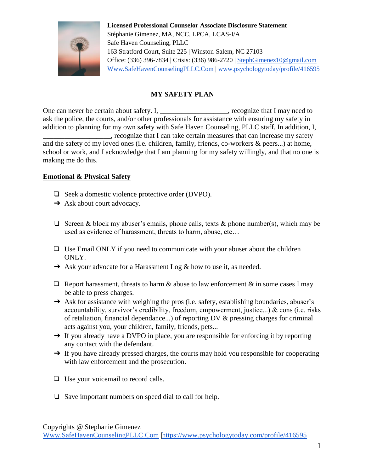

## **MY SAFETY PLAN**

One can never be certain about safety. I, \_\_\_\_\_\_\_\_\_\_\_\_\_\_\_\_\_\_\_, recognize that I may need to ask the police, the courts, and/or other professionals for assistance with ensuring my safety in addition to planning for my own safety with Safe Haven Counseling, PLLC staff. In addition, I, \_\_\_\_\_\_\_\_\_\_\_\_\_\_\_\_\_\_\_, recognize that I can take certain measures that can increase my safety and the safety of my loved ones (i.e. children, family, friends, co-workers & peers...) at home, school or work, and I acknowledge that I am planning for my safety willingly, and that no one is making me do this.

## **Emotional & Physical Safety**

- ❏ Seek a domestic violence protective order (DVPO).
- **→** Ask about court advocacy.
- $\Box$  Screen & block my abuser's emails, phone calls, texts & phone number(s), which may be used as evidence of harassment, threats to harm, abuse, etc…
- ❏ Use Email ONLY if you need to communicate with your abuser about the children ONLY.
- **→** Ask your advocate for a Harassment Log & how to use it, as needed.
- $\Box$  Report harassment, threats to harm  $\&$  abuse to law enforcement  $\&$  in some cases I may be able to press charges.
- → Ask for assistance with weighing the pros (i.e. safety, establishing boundaries, abuser's accountability, survivor's credibility, freedom, empowerment, justice...) & cons (i.e. risks of retaliation, financial dependance...) of reporting DV & pressing charges for criminal acts against you, your children, family, friends, pets...
- → If you already have a DVPO in place, you are responsible for enforcing it by reporting any contact with the defendant.
- → If you have already pressed charges, the courts may hold you responsible for cooperating with law enforcement and the prosecution.
- ❏ Use your voicemail to record calls.
- ❏ Save important numbers on speed dial to call for help.

Copyrights @ Stephanie Gimenez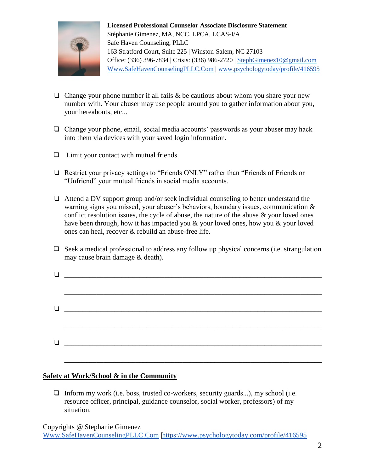

- $\Box$  Change your phone number if all fails & be cautious about whom you share your new number with. Your abuser may use people around you to gather information about you, your hereabouts, etc...
- ❏ Change your phone, email, social media accounts' passwords as your abuser may hack into them via devices with your saved login information.
- ❏ Limit your contact with mutual friends.
- ❏ Restrict your privacy settings to "Friends ONLY" rather than "Friends of Friends or "Unfriend" your mutual friends in social media accounts.
- ❏ Attend a DV support group and/or seek individual counseling to better understand the warning signs you missed, your abuser's behaviors, boundary issues, communication & conflict resolution issues, the cycle of abuse, the nature of the abuse  $\&$  your loved ones have been through, how it has impacted you & your loved ones, how you & your loved ones can heal, recover & rebuild an abuse-free life.
- ❏ Seek a medical professional to address any follow up physical concerns (i.e. strangulation may cause brain damage & death).

| $\begin{tabular}{ c c c c } \hline \quad \quad & \quad \quad & \quad \quad & \quad \quad & \quad \quad \\ \hline \quad \quad & \quad \quad & \quad \quad & \quad \quad & \quad \quad \\ \hline \end{tabular}$ |  |
|---------------------------------------------------------------------------------------------------------------------------------------------------------------------------------------------------------------|--|
|                                                                                                                                                                                                               |  |
|                                                                                                                                                                                                               |  |
|                                                                                                                                                                                                               |  |
|                                                                                                                                                                                                               |  |
|                                                                                                                                                                                                               |  |

## **Safety at Work/School & in the Community**

❏ Inform my work (i.e. boss, trusted co-workers, security guards...), my school (i.e. resource officer, principal, guidance counselor, social worker, professors) of my situation.

Copyrights @ Stephanie Gimenez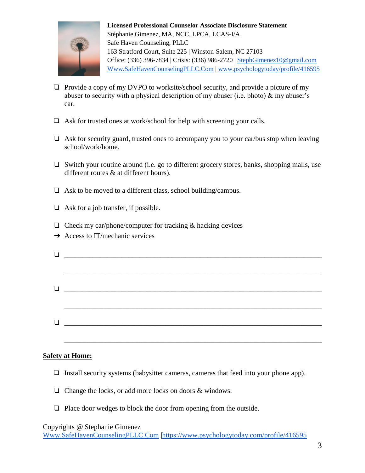

- ❏ Provide a copy of my DVPO to worksite/school security, and provide a picture of my abuser to security with a physical description of my abuser (i.e. photo)  $\&$  my abuser's car.
- ❏ Ask for trusted ones at work/school for help with screening your calls.
- ❏ Ask for security guard, trusted ones to accompany you to your car/bus stop when leaving school/work/home.
- ❏ Switch your routine around (i.e. go to different grocery stores, banks, shopping malls, use different routes & at different hours).
- ❏ Ask to be moved to a different class, school building/campus.
- ❏ Ask for a job transfer, if possible.
- $\Box$  Check my car/phone/computer for tracking & hacking devices
- $\rightarrow$  Access to IT/mechanic services

| $\begin{tabular}{ c c c c } \hline \quad \quad & \quad \quad & \quad \quad & \quad \quad \\ \hline \end{tabular}$ |  |
|-------------------------------------------------------------------------------------------------------------------|--|
|                                                                                                                   |  |
|                                                                                                                   |  |

## **Safety at Home:**

- ❏ Install security systems (babysitter cameras, cameras that feed into your phone app).
- ❏ Change the locks, or add more locks on doors & windows.
- ❏ Place door wedges to block the door from opening from the outside.

Copyrights @ Stephanie Gimenez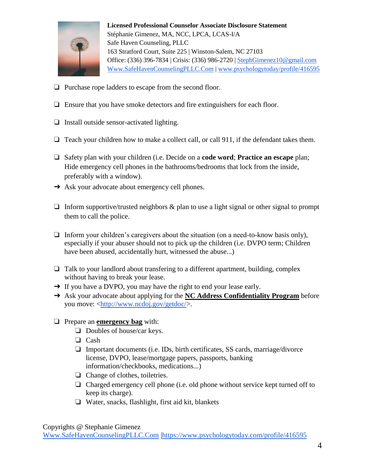

- ❏ Purchase rope ladders to escape from the second floor.
- ❏ Ensure that you have smoke detectors and fire extinguishers for each floor.
- ❏ Install outside sensor-activated lighting.
- ❏ Teach your children how to make a collect call, or call 911, if the defendant takes them.
- ❏ Safety plan with your children (i.e. Decide on a **code word**; **Practice an escape** plan; Hide emergency cell phones in the bathrooms/bedrooms that lock from the inside, preferably with a window).
- **→** Ask your advocate about emergency cell phones.
- $\Box$  Inform supportive/trusted neighbors & plan to use a light signal or other signal to prompt them to call the police.
- $\Box$  Inform your children's caregivers about the situation (on a need-to-know basis only), especially if your abuser should not to pick up the children (i.e. DVPO term; Children have been abused, accidentally hurt, witnessed the abuse...)
- ❏ Talk to your landlord about transfering to a different apartment, building, complex without having to break your lease.
- → If you have a DVPO, you may have the right to end your lease early.
- ➔ Ask your advocate about applying for the **NC Address Confidentiality Program** before you move: [<http://www.ncdoj.gov/getdoc/>](http://www.ncdoj.gov/getdoc/).
- ❏ Prepare an **emergency bag** with:
	- ❏ Doubles of house/car keys.
	- ❏ Cash
	- ❏ Important documents (i.e. IDs, birth certificates, SS cards, marriage/divorce license, DVPO, lease/mortgage papers, passports, banking information/checkbooks, medications...)
	- ❏ Change of clothes, toiletries.
	- ❏ Charged emergency cell phone (i.e. old phone without service kept turned off to keep its charge).
	- ❏ Water, snacks, flashlight, first aid kit, blankets

Copyrights @ Stephanie Gimenez